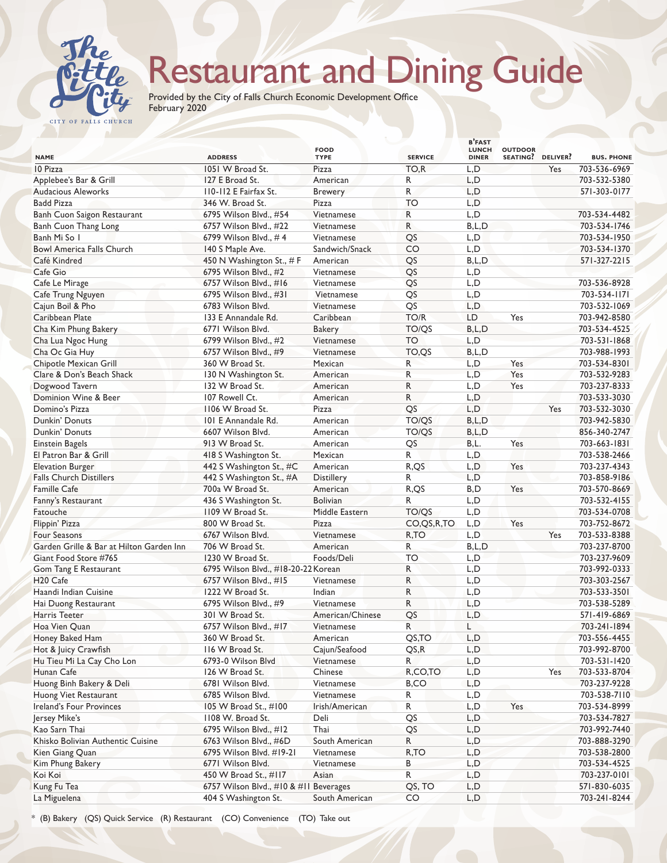

## Restaurant and Dining Guide

Provided by the City of Falls Church Economic Development Office February 2020

| <b>NAME</b>                              | <b>ADDRESS</b>                         | <b>FOOD</b><br><b>TYPE</b> | <b>SERVICE</b> | <b>B'FAST</b><br><b>LUNCH</b><br><b>DINER</b> | <b>OUTDOOR</b><br>SEATING? DELIVER? |     | <b>BUS. PHONE</b> |
|------------------------------------------|----------------------------------------|----------------------------|----------------|-----------------------------------------------|-------------------------------------|-----|-------------------|
| 10 Pizza                                 | 1051 W Broad St.                       | Pizza                      | TO,R           | L,D                                           |                                     | Yes | 703-536-6969      |
| Applebee's Bar & Grill                   | 127 E Broad St.                        | American                   | R              | L, D                                          |                                     |     | 703-532-5380      |
| <b>Audacious Aleworks</b>                | 110-112 E Fairfax St.                  | <b>Brewery</b>             | R.             | L, D                                          |                                     |     | 571-303-0177      |
| <b>Badd Pizza</b>                        | 346 W. Broad St.                       | Pizza                      | <b>TO</b>      | L, D                                          |                                     |     |                   |
| Banh Cuon Saigon Restaurant              | 6795 Wilson Blvd., #54                 | Vietnamese                 | R              | L, D                                          |                                     |     | 703-534-4482      |
| Banh Cuon Thang Long                     | 6757 Wilson Blvd., #22                 | Vietnamese                 | R              | B, L, D                                       |                                     |     | 703-534-1746      |
| Banh Mi So I                             | 6799 Wilson Blvd., #4                  | Vietnamese                 | QS             | L, D                                          |                                     |     | 703-534-1950      |
| <b>Bowl America Falls Church</b>         | 140 S Maple Ave.                       | Sandwich/Snack             | CO             | L, D                                          |                                     |     | 703-534-1370      |
| Café Kindred                             | 450 N Washington St., #F               | American                   | QS             | B, L, D                                       |                                     |     | 571-327-2215      |
| Cafe Gio                                 | 6795 Wilson Blvd., #2                  | Vietnamese                 | QS             | L, D                                          |                                     |     |                   |
| Cafe Le Mirage                           | 6757 Wilson Blvd., #16                 | Vietnamese                 | QS             | L, D                                          |                                     |     | 703-536-8928      |
| Cafe Trung Nguyen                        | 6795 Wilson Blvd., #31                 | Vietnamese                 | QS             | L, D                                          |                                     |     | 703-534-1171      |
| Cajun Boil & Pho                         | 6783 Wilson Blvd.                      | Vietnamese                 | QS             | L, D                                          |                                     |     | 703-532-1069      |
| Caribbean Plate                          | 133 E Annandale Rd.                    | Caribbean                  | TO/R           | LD                                            | Yes                                 |     | 703-942-8580      |
| Cha Kim Phung Bakery                     | 6771 Wilson Blvd.                      | <b>Bakery</b>              | TO/QS          | B, L, D                                       |                                     |     | 703-534-4525      |
| Cha Lua Ngoc Hung                        | 6799 Wilson Blvd., #2                  | Vietnamese                 | <b>TO</b>      | L, D                                          |                                     |     | 703-531-1868      |
| Cha Oc Gia Huy                           | 6757 Wilson Blvd., #9                  | Vietnamese                 | TO,QS          | B, L, D                                       |                                     |     | 703-988-1993      |
| Chipotle Mexican Grill                   | 360 W Broad St.                        | Mexican                    | R              | L, D                                          | Yes                                 |     | 703-534-8301      |
| Clare & Don's Beach Shack                | 130 N Washington St.                   | American                   | R              | L, D                                          | Yes                                 |     | 703-532-9283      |
| Dogwood Tavern                           | 132 W Broad St.                        | American                   | R              | L, D                                          | Yes                                 |     | 703-237-8333      |
| Dominion Wine & Beer                     | 107 Rowell Ct.                         | American                   | R              | L, D                                          |                                     |     | 703-533-3030      |
| Domino's Pizza                           | 1106 W Broad St.                       | Pizza                      | QS             | L, D                                          |                                     | Yes | 703-532-3030      |
| Dunkin' Donuts                           | 101 E Annandale Rd.                    | American                   | TO/QS          | B, L, D                                       |                                     |     | 703-942-5830      |
| Dunkin' Donuts                           | 6607 Wilson Blvd.                      | American                   | TO/QS          | B, L, D                                       |                                     |     | 856-340-2747      |
| <b>Einstein Bagels</b>                   | 913 W Broad St.                        | American                   | QS             | B,L.                                          | Yes                                 |     | 703-663-1831      |
| El Patron Bar & Grill                    | 418 S Washington St.                   | Mexican                    | R              | L, D                                          |                                     |     | 703-538-2466      |
| <b>Elevation Burger</b>                  | 442 S Washington St., #C               | American                   | R,QS           | L, D                                          | Yes                                 |     | 703-237-4343      |
| <b>Falls Church Distillers</b>           | 442 S Washington St., #A               | Distillery                 | R              | L, D                                          |                                     |     | 703-858-9186      |
| <b>Famille Cafe</b>                      | 700a W Broad St.                       | American                   | R,QS           | B,D                                           | Yes                                 |     | 703-570-8669      |
| Fanny's Restaurant                       | 436 S Washington St.                   | <b>Bolivian</b>            | R              | L, D                                          |                                     |     | 703-532-4155      |
| Fatouche                                 | 1109 W Broad St.                       | Middle Eastern             | TO/QS          | L, D                                          |                                     |     | 703-534-0708      |
| Flippin' Pizza                           | 800 W Broad St.                        | Pizza                      | CO, QS, R, TO  | L, D                                          | Yes                                 |     | 703-752-8672      |
| Four Seasons                             | 6767 Wilson Blvd.                      | Vietnamese                 | R,TO           | L, D                                          |                                     | Yes | 703-533-8388      |
| Garden Grille & Bar at Hilton Garden Inn | 706 W Broad St.                        | American                   | R              | B, L, D                                       |                                     |     | 703-237-8700      |
| Giant Food Store #765                    | 1230 W Broad St.                       | Foods/Deli                 | TO             | L, D                                          |                                     |     | 703-237-9609      |
| Gom Tang E Restaurant                    | 6795 Wilson Blvd., #18-20-22 Korean    |                            | R              | L, D                                          |                                     |     | 703-992-0333      |
| H <sub>20</sub> Cafe                     | 6757 Wilson Blvd., #15                 | Vietnamese                 | R              | L, D                                          |                                     |     | 703-303-2567      |
| Haandi Indian Cuisine                    | 1222 W Broad St.                       | Indian                     | R              | L, D                                          |                                     |     | 703-533-3501      |
| Hai Duong Restaurant                     | 6795 Wilson Blvd., #9                  | Vietnamese                 | R              | L, D                                          |                                     |     | 703-538-5289      |
| Harris Teeter                            | 301 W Broad St.                        | American/Chinese           | QS             | L, D                                          |                                     |     | 571-419-6869      |
| Hoa Vien Quan                            | 6757 Wilson Blvd., #17                 | Vietnamese                 | R.             | L                                             |                                     |     | 703-241-1894      |
| Honey Baked Ham                          | 360 W Broad St.                        | American                   | QS,TO          | L,D                                           |                                     |     | 703-556-4455      |
| Hot & Juicy Crawfish                     | 116 W Broad St.                        | Cajun/Seafood              | QS, R          | L, D                                          |                                     |     | 703-992-8700      |
| Hu Tieu Mi La Cay Cho Lon                | 6793-0 Wilson Blvd                     | Vietnamese                 | R              | L, D                                          |                                     |     | 703-531-1420      |
| Hunan Cafe                               | 126 W Broad St.                        | Chinese                    | R,CO,TO        | L,D                                           |                                     | Yes | 703-533-8704      |
| Huong Binh Bakery & Deli                 | 6781 Wilson Blvd.                      | Vietnamese                 | B,CO           | L,D                                           |                                     |     | 703-237-9228      |
| Huong Viet Restaurant                    | 6785 Wilson Blvd.                      | Vietnamese                 | R              | L,D                                           |                                     |     | 703-538-7110      |
| Ireland's Four Provinces                 | 105 W Broad St., #100                  | Irish/American             | R              | L,D                                           | Yes                                 |     | 703-534-8999      |
| Jersey Mike's                            | 1108 W. Broad St.                      | Deli                       | QS             | L,D                                           |                                     |     | 703-534-7827      |
| Kao Sarn Thai                            | 6795 Wilson Blvd., #12                 | Thai                       | QS             | L,D                                           |                                     |     | 703-992-7440      |
| Khisko Bolivian Authentic Cuisine        | 6763 Wilson Blvd., #6D                 | South American             | R              | L,D                                           |                                     |     | 703-888-3290      |
| Kien Giang Quan                          | 6795 Wilson Blvd. #19-21               | Vietnamese                 | R,TO           | L, D                                          |                                     |     | 703-538-2800      |
| Kim Phung Bakery                         | 6771 Wilson Blvd.                      | Vietnamese                 | В              | L,D                                           |                                     |     | 703-534-4525      |
| Koi Koi                                  | 450 W Broad St., #117                  | Asian                      | R              | L,D                                           |                                     |     | 703-237-0101      |
| Kung Fu Tea                              | 6757 Wilson Blvd., #10 & #11 Beverages |                            | QS, TO         | L,D                                           |                                     |     | 571-830-6035      |
| La Miguelena                             | 404 S Washington St.                   | South American             | CO             | L,D                                           |                                     |     | 703-241-8244      |